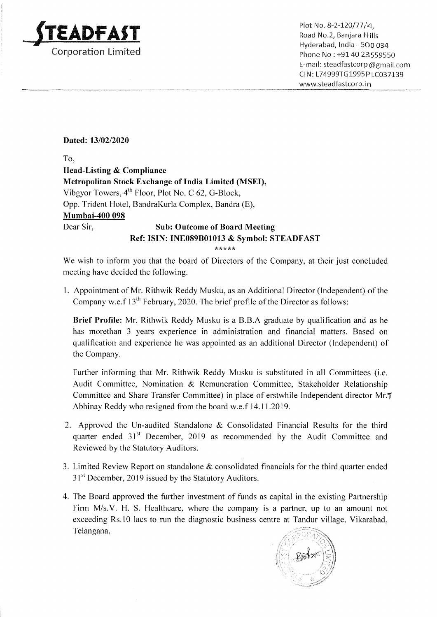

 $\mathbf{D}$   $\mathbf{A}$   $\mathbf{S}$   $\mathbf{T}$  and  $\mathbf{S}$  and  $\mathbf{S}$  and  $\mathbf{S}$  and  $\mathbf{S}$  and  $\mathbf{S}$  and  $\mathbf{S}$  and  $\mathbf{S}$  and  $\mathbf{S}$  and  $\mathbf{S}$  and  $\mathbf{S}$  and  $\mathbf{S}$  and  $\mathbf{S}$  and  $\mathbf{S}$  and  $\mathbf{S}$  and Road No.2, Banjara Hills External Trump of the Hyderabad, India - 500 034<br>
Corporation Limited Phone No : +91 40 23559550 E-mail: steadfastcorp @gmail.com CIN: L74999TG1995P1C037139 www.steadfastcorp.in

## Dated: 13/02/2020

To,

## Head-Listing & Compliance Metropolitan Stock Exchange of India Limited (MSED, Vibgyor Towers, 4" Floor, Plot No. C 62, G-Block, Opp. Trident Hotel, BandraKurla Complex, Bandra (E), Mumbai-400 098 Dear Sir, Sub: Outcome of Board Meeting Ref: ISIN: INE089B01013 & Symbol: STEADFAST

\*\*\*\*\*

We wish to inform you that the board of Directors of the Company, at their just concluded meeting have decided the following.

1. Appointment of Mr. Rithwik Reddy Musku, as an Additional Director (Independent) of the Company w.e.f 13" February, 2020. The brief profile of the Director as follows:

Brief Profile: Mr. Rithwik Reddy Musku is a B.B.A graduate by qualification and as he has morethan 3 years experience in administration and financial matters. Based on qualification and experience he was appointed as an additional Director (Independent) of the Company.

Further informing that Mr. Rithwik Reddy Musku is substituted in all Committees (i.e. Audit Committee, Nomination & Remuneration Committee, Stakeholder Relationship Committee and Share Transfer Committee) in place of erstwhile Independent director Mr.F Abhinay Reddy who resigned from the board w.e.f 14.11.2019.

- 2. Approved the Un-audited Standalone & Consolidated Financial Results for the third quarter ended 31<sup>st</sup> December, 2019 as recommended by the Audit Committee and Reviewed by the Statutory Auditors.
- 3. Limited Review Report on standalone & consolidated financials for the third quarter ended 31<sup>st</sup> December, 2019 issued by the Statutory Auditors.
- 4, The Board approved the further investment of funds as capital in the existing Partnership Firm M/s.V. H. S. Healthcare, where the company is a partner, up to an amount not exceeding Rs.10 lacs to run the diagnostic business centre at Tandur village, Vikarabad, Telangana.